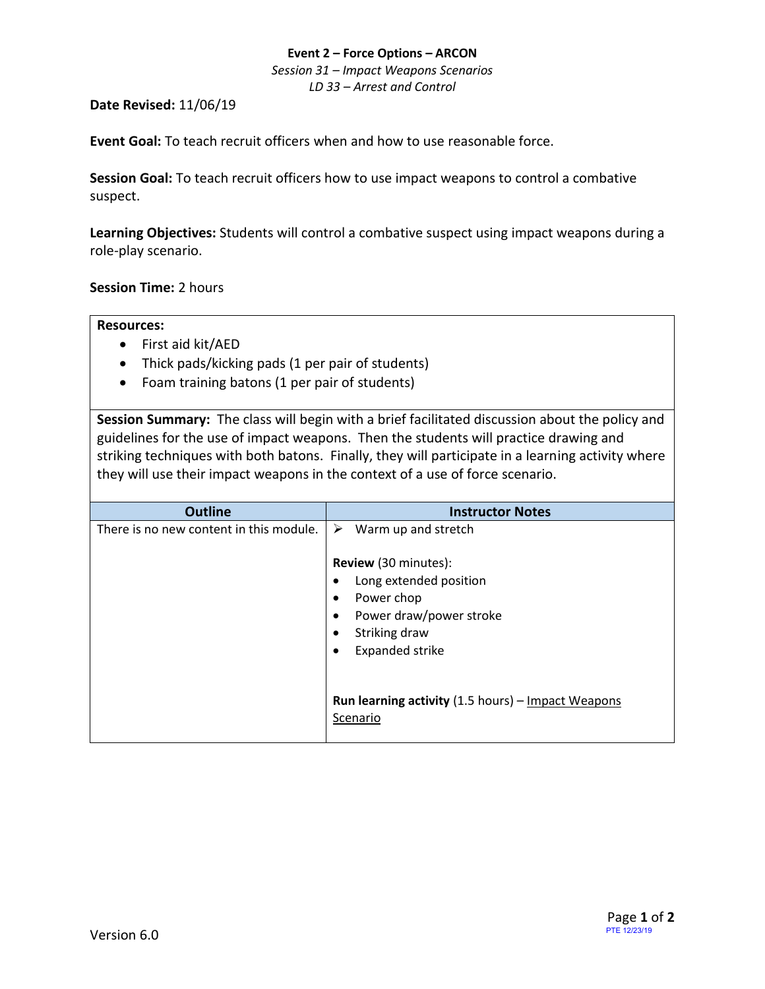#### **Event 2 – Force Options – ARCON**

*Session 31 – Impact Weapons Scenarios LD 33 – Arrest and Control*

### **Date Revised:** 11/06/19

**Event Goal:** To teach recruit officers when and how to use reasonable force.

**Session Goal:** To teach recruit officers how to use impact weapons to control a combative suspect.

**Learning Objectives:** Students will control a combative suspect using impact weapons during a role-play scenario.

# **Session Time:** 2 hours

### **Resources:**

- First aid kit/AED
- Thick pads/kicking pads (1 per pair of students)
- Foam training batons (1 per pair of students)

**Session Summary:** The class will begin with a brief facilitated discussion about the policy and guidelines for the use of impact weapons. Then the students will practice drawing and striking techniques with both batons. Finally, they will participate in a learning activity where they will use their impact weapons in the context of a use of force scenario.

| <b>Outline</b>                          | <b>Instructor Notes</b>                            |
|-----------------------------------------|----------------------------------------------------|
| There is no new content in this module. | ➤<br>Warm up and stretch                           |
|                                         | <b>Review</b> (30 minutes):                        |
|                                         | Long extended position<br>٠                        |
|                                         | Power chop<br>$\bullet$                            |
|                                         | Power draw/power stroke<br>$\bullet$               |
|                                         | Striking draw<br>$\bullet$                         |
|                                         | <b>Expanded strike</b><br>٠                        |
|                                         | Run learning activity (1.5 hours) - Impact Weapons |
|                                         | Scenario                                           |